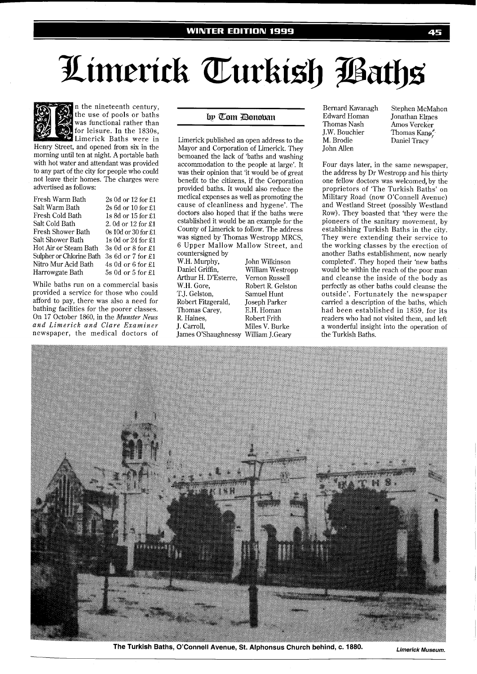



n the nineteenth century, the use of pools or baths was functional rather than for leisure. In the 1830s, Limerick Baths were in

Henry Street, and opened from six in the morning until ten at night. A portable bath with hot water and attendant was provided to any part of the city for people who could not leave their homes. The charges were advertised as follows:

| Fresh Warm Bath          | $2s$ 0d or 12 for £1   |
|--------------------------|------------------------|
| Salt Warm Bath           | 2s 6d or 10 for £1     |
| Fresh Cold Bath          | 1s 8d or 15 for £1     |
| Salt Cold Bath           | 2. 0d or 12 for £1     |
| Fresh Shower Bath        | 0s 10d or 30 for £1    |
| Salt Shower Bath         | 1s 0d or 24 for £1     |
| Hot Air or Steam Bath    | $3s0d$ or $8$ for $£1$ |
| Sulpher or Chlorine Bath | 3s 6d or 7 for £1      |
| Nitro Mur Acid Bath      | $4s$ 0d or 6 for £1    |
| Harrowgate Bath          | 5s 0d or 5 for £1      |
|                          |                        |

While baths run on a commercial basis provided a service for those who could afford to pay, there was also a need for bathing facilities for the poorer classes. On 17 October 1860, in the *Munster News and Limerick and Clare Examiner*  newspaper, the medical doctors of

## by Tom Bonoban

Limerick published an open address to the Mayor and Corporation of Limerick. They bemoaned the lack of 'baths and washing accommodation to the people at large'. It was their opinion that 'it would be of great benefit to the citizens, if the Corporation provided baths. It would also reduce the medical expenses as well as promoting the cause of cleanliness and hygene'. The doctors also hoped that if the baths were established it would be an example for the County of Limerick to follow. The address was signed by Thomas Westropp MRCS, 6 Upper Mallow Mallow Street, and

countersigned by<br>W.H. Murphy, W.H. Murphy, John Wilkinson<br>Daniel Griffin, William Westro Arthur H. D'Esterre,<br>W.H. Gore, W.H. Gore, Robert R. Gelston<br>T.J. Gelston, Samuel Hunt Robert Fitzgerald, Thomas Carey, E.H. Homan R. Haines, Robert Frith<br>
J. Carroll, Miles V. Bur James O'Shaughnessy William J.Geary

William Westropp<br>Vernon Russell Samuel Hunt<br>Joseph Parker Miles V. Burke

Edward Homan Jonathan Elmes<br>Thomas Nash Amos Vereker J.W. Bouchier Thomas Kang<sup>e</sup><br>M. Brodie Daniel Tracy John Allen

Bernard Kavanagh Stephen McMahon Amos Vereker Daniel Tracy

Four days later, in the same newspaper, the address by Dr Westropp and his thirty one fellow doctors was welcomed, by the proprietors of 'The Turkish Baths' on Military Road (now O'Connell Avenue) and Westland Street (possibly Westland Row). They boasted that 'they were the pioneers of the sanitary movement, by establishing Turkish Baths in the city. They were extending their service to the working classes by the erection of another Baths establishment, now nearly completed'. They hoped their 'new baths would be within the reach of the poor man and cleanse the inside of the body as perfectly as other baths could cleanse the outside'. Fortunately the newspaper carried a description of the baths, which had been established in 1859, for its readers who had not visited them, and left a wonderful insight into the operation of the Turkish Baths.



**The Turkish Baths, O'Connell Avenue, St. Alphonsus Church behind, c. 1880. Limerick Museum.**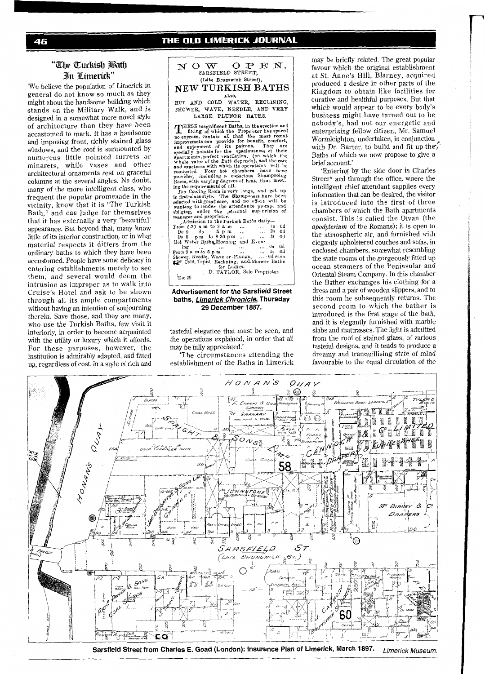# **"me** *fEurIti\$b*  **3ln** *Ztmerick"*

We believe the population of Limerick in general do not know so much as they might about the handsome building which stands on the Military Walk, and is designed in a somewhat more novel style of architecture than they have been accustomed to mark. It has a handsome and imposing front, richly stained glass windows, and the roof is surmounted by numerous little pointed turrets or minarets, while vases and other architectural ornaments rest on graceful columns at the several angles. No doubt, many of the more intelligent class, who frequent the popular promenade in the vicinity, know that it is "The Turkish Bath," and can judge for themselves that it has externally a very 'beautiful' appearance. But beyond that, many know little of its interior construction, or in what material respects it differs from the ordinary baths to which they have been accustomed. People have some delicacy in entering establishments merely to see them, and several would deem the intrusion as improper as to walk into Cruise's Hotel and ask to be shown through all its ample compartments without having an intention of soujourning therein. Save those, and they are many, who use the Turkish Baths, few visit it interiorly, in order to become acquainted with the utility or luxury which it afiords. For these purposes, however, the institution is admirably adapted, and fitted up, regardless of cost, in a style of rich and

### **NOW** OPEN, **SdRSFIELD** STREET, **(Cite Brunswick Street), NEW TURKISH BATHS** *XO'P* **AND COLD WATER, RECLINING,**

HOWER, WAVE, NEEDLE, AND VERY LARGE PLUNGE BATHS. **LARQE PLUNGE BATBS.** 

IRESE magnificent Baths, in the erection and THESE magnificent Baths, in the erection and expense, contain all that the most recent<br>provemets can provide for benefit, comfort,<br>denjoyment of its patrons. They are<br>pecially notable for the spaciousness of their<br>partments, perfect ventilation, (on which the<br>bole va conducted. Four hot chambers have been<br>novided, including a capacious Shampooing<br>com, with varying degrees of heat, thus meet-<br>g the requirements of all.<br>The Cooling Room is very large, and got up<br>the Cooling Room is very

**hected with great care, and no effert will be anting to render the attendance prompt and highing, under the personal supervision of** whating to render the attendance prompt and obliging, under the personal supervision of manager and proprietor...

| , Admission to the Turkish Baths datiy-      |           |                                   |                |    |  |
|----------------------------------------------|-----------|-----------------------------------|----------------|----|--|
| From 6-30 a m to 9 a m                       |           |                                   | 1s             | 0d |  |
| $Do9$ do $5\text{ pm}$                       | $\sim$    | <b>Contract Contract Contract</b> | 2 <sub>3</sub> | 0d |  |
| Do 5 pm to 8-30 pm                           |           | Is                                |                | 0d |  |
| Hot Water Bathe Morning and Even-            |           |                                   |                |    |  |
| ing<br>$\cdots$<br>                          | $\ddotsc$ | $\ldots$ 0s                       |                | 6d |  |
| From 9 a m to 5 p m                          | $\cdots$  | 1s 0d                             |                |    |  |
| Shower, Needle, Wave or Plunge,  6d each     |           |                                   |                |    |  |
| the Cold, Tepid, Reclining, and Shower Baths |           |                                   |                |    |  |
| for Ladies.                                  |           |                                   |                |    |  |
| D. TAYLOR, Sole Proprietor.                  |           |                                   |                |    |  |
| Dec 29                                       |           |                                   |                |    |  |
|                                              |           |                                   |                |    |  |

### **Advertisement for the Sarsfield Street baths, Limerick Chronicle, Thursday 29 December 1887.**

tasteful elegance that must be seen, and the operations explained, in order that all may be fully appreciated.'

'The circumstances attending the establishment of the Baths in Limerick

may be briefly related. The great popular favour which the original establishment at St. Anne's Hill, Blarney, acquired produced a desire in other parts of the Kingdom to obtain like facilities for curative and healthful purposes. But that which would appear to be every body's business might have turned out to be nobody's, had not our energetic and enterprising fellow citizen, Mr. Samuel Wormleighton, undertaken, in conjunction<br>with Dr. Barter, to build and fit up the Baths of which we now propose to give a brief account.'

'Entering by the side door in Charles Street<sup>\*</sup> and through the office, where the intelligent chief attendant supplies every information that can be desired, the visitor is introduced into the first of three chambers of which the Bath apartments consist. This is called the Divan (the *apodyterium* of the Romans); it is open to the atmospheric air, and furnished with elegantly upholstered couches and sofas, in enclosed chambers, somewhat resembling the state rooms of the gorgeously fitted up ocean steamers of the Peninsular and Oriental Steam Company. In this chamber the Bather exchanges his clothing for a dress and a pair of wooden slippers, and to this room he subsequently returns. The second room to which the bather is introduced is the first stage of the bath, and it is elegantly furnished with marble slabs and mattrasses. The light is admitted from the roof of stained glass, of various tasteful designs, and it tends to produce a dreamy and tranquillising state of mind favourable to the equal circulation of the



Sarsfield Street from Charles E. Goad (London): Insurance Plan of Limerick, March 1897. *Limerick Museum.*